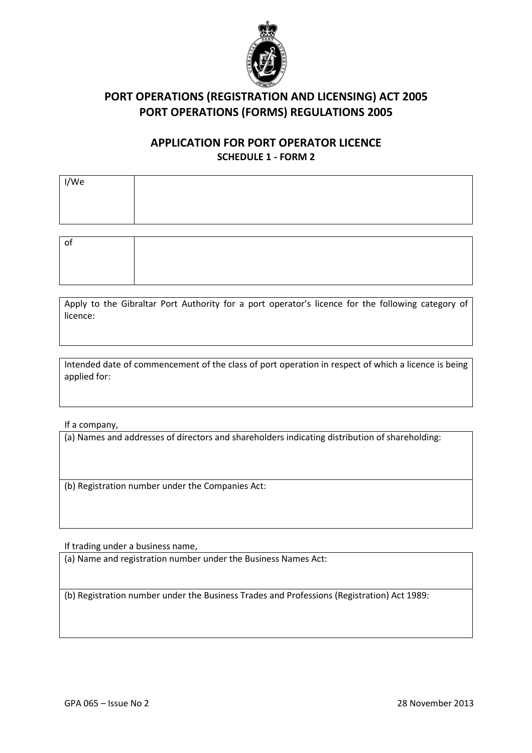

### APPLICATION FOR PORT OPERATOR LICENCE SCHEDULE 1 - FORM 2

| I/We |  |
|------|--|
|      |  |
|      |  |
|      |  |
| οf   |  |
|      |  |

Apply to the Gibraltar Port Authority for a port operator's licence for the following category of licence:

Intended date of commencement of the class of port operation in respect of which a licence is being applied for:

If a company,

(a) Names and addresses of directors and shareholders indicating distribution of shareholding:

(b) Registration number under the Companies Act:

If trading under a business name,

(a) Name and registration number under the Business Names Act:

(b) Registration number under the Business Trades and Professions (Registration) Act 1989: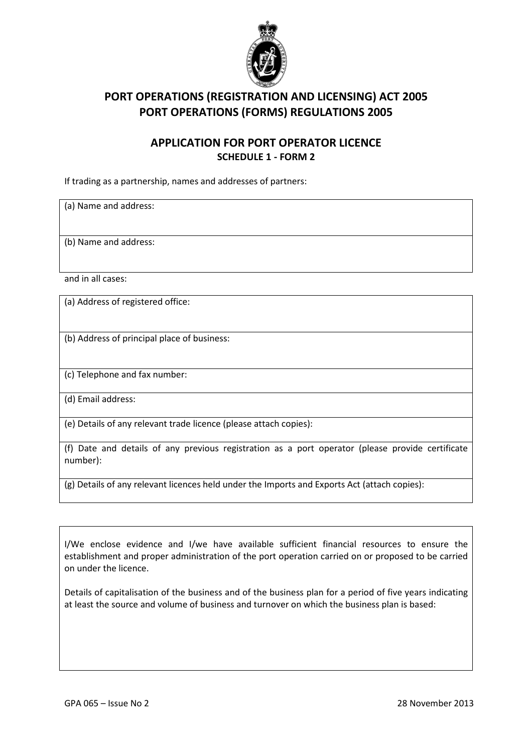

#### APPLICATION FOR PORT OPERATOR LICENCE SCHEDULE 1 - FORM 2

If trading as a partnership, names and addresses of partners:

(a) Name and address:

(b) Name and address:

and in all cases:

(a) Address of registered office:

(b) Address of principal place of business:

(c) Telephone and fax number:

(d) Email address:

(e) Details of any relevant trade licence (please attach copies):

(f) Date and details of any previous registration as a port operator (please provide certificate number):

(g) Details of any relevant licences held under the Imports and Exports Act (attach copies):

I/We enclose evidence and I/we have available sufficient financial resources to ensure the establishment and proper administration of the port operation carried on or proposed to be carried on under the licence.

Details of capitalisation of the business and of the business plan for a period of five years indicating at least the source and volume of business and turnover on which the business plan is based: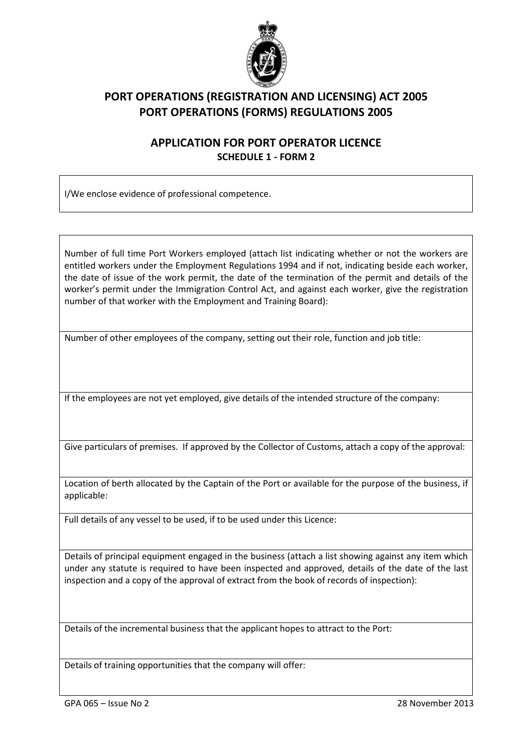

### APPLICATION FOR PORT OPERATOR LICENCE SCHEDULE 1 - FORM 2

I/We enclose evidence of professional competence.

Number of full time Port Workers employed (attach list indicating whether or not the workers are entitled workers under the Employment Regulations 1994 and if not, indicating beside each worker, the date of issue of the work permit, the date of the termination of the permit and details of the worker's permit under the Immigration Control Act, and against each worker, give the registration number of that worker with the Employment and Training Board):

Number of other employees of the company, setting out their role, function and job title:

If the employees are not yet employed, give details of the intended structure of the company:

Give particulars of premises. If approved by the Collector of Customs, attach a copy of the approval:

Location of berth allocated by the Captain of the Port or available for the purpose of the business, if applicable:

Full details of any vessel to be used, if to be used under this Licence:

Details of principal equipment engaged in the business (attach a list showing against any item which under any statute is required to have been inspected and approved, details of the date of the last inspection and a copy of the approval of extract from the book of records of inspection):

Details of the incremental business that the applicant hopes to attract to the Port:

Details of training opportunities that the company will offer: